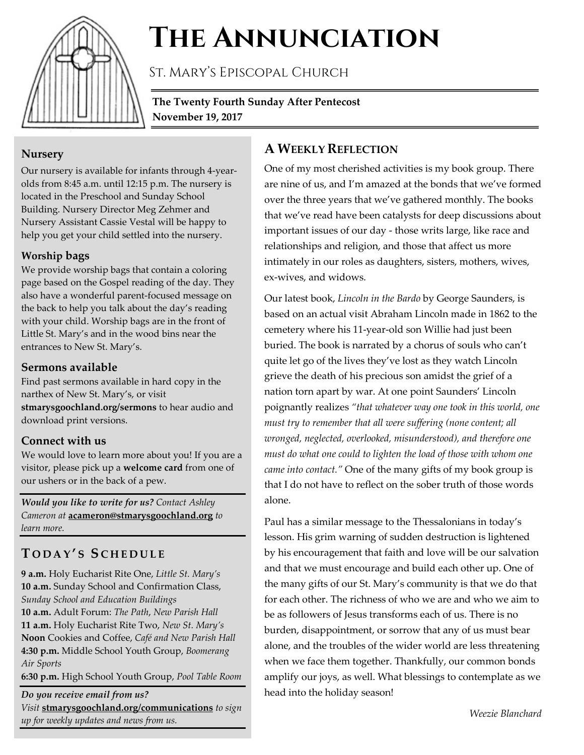

# **The Annunciation**

St. Mary's Episcopal Church

**The Twenty Fourth Sunday After Pentecost November 19, 2017**

#### **Nursery**

Our nursery is available for infants through 4-yearolds from 8:45 a.m. until 12:15 p.m. The nursery is located in the Preschool and Sunday School Building. Nursery Director Meg Zehmer and Nursery Assistant Cassie Vestal will be happy to help you get your child settled into the nursery.

#### **Worship bags**

We provide worship bags that contain a coloring page based on the Gospel reading of the day. They also have a wonderful parent-focused message on the back to help you talk about the day's reading with your child. Worship bags are in the front of Little St. Mary's and in the wood bins near the entrances to New St. Mary's.

#### **Sermons available**

Find past sermons available in hard copy in the narthex of New St. Mary's, or visit **stmarysgoochland.org/sermons** to hear audio and download print versions.

#### **Connect with us**

We would love to learn more about you! If you are a visitor, please pick up a **welcome card** from one of our ushers or in the back of a pew.

*Would you like to write for us? Contact Ashley Cameron at* **acameron@stmarysgoochland.org** *to learn more.*

## **T ODAY ' S S CHEDULE**

**9 a.m.** Holy Eucharist Rite One, *Little St. Mary's* **10 a.m.** Sunday School and Confirmation Class, *Sunday School and Education Buildings* **10 a.m.** Adult Forum: *The Path*, *New Parish Hall* **11 a.m.** Holy Eucharist Rite Two, *New St. Mary's* **Noon** Cookies and Coffee, *Café and New Parish Hall* **4:30 p.m.** Middle School Youth Group, *Boomerang Air Sports*

**6:30 p.m.** High School Youth Group, *Pool Table Room*

*Do you receive email from us? Visit* **stmarysgoochland.org/communications** *to sign up for weekly updates and news from us.*

## **A WEEKLY REFLECTION**

One of my most cherished activities is my book group. There are nine of us, and I'm amazed at the bonds that we've formed over the three years that we've gathered monthly. The books that we've read have been catalysts for deep discussions about important issues of our day - those writs large, like race and relationships and religion, and those that affect us more intimately in our roles as daughters, sisters, mothers, wives, ex-wives, and widows.

Our latest book, *Lincoln in the Bardo* by George Saunders, is based on an actual visit Abraham Lincoln made in 1862 to the cemetery where his 11-year-old son Willie had just been buried. The book is narrated by a chorus of souls who can't quite let go of the lives they've lost as they watch Lincoln grieve the death of his precious son amidst the grief of a nation torn apart by war. At one point Saunders' Lincoln poignantly realizes *"that whatever way one took in this world, one must try to remember that all were suffering (none content; all wronged, neglected, overlooked, misunderstood), and therefore one must do what one could to lighten the load of those with whom one came into contact."* One of the many gifts of my book group is that I do not have to reflect on the sober truth of those words alone.

Paul has a similar message to the Thessalonians in today's lesson. His grim warning of sudden destruction is lightened by his encouragement that faith and love will be our salvation and that we must encourage and build each other up. One of the many gifts of our St. Mary's community is that we do that for each other. The richness of who we are and who we aim to be as followers of Jesus transforms each of us. There is no burden, disappointment, or sorrow that any of us must bear alone, and the troubles of the wider world are less threatening when we face them together. Thankfully, our common bonds amplify our joys, as well. What blessings to contemplate as we head into the holiday season!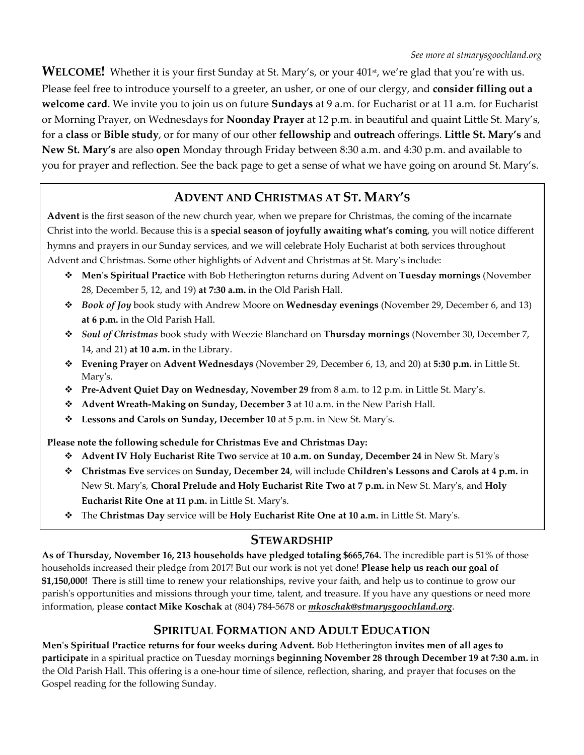WELCOME! Whether it is your first Sunday at St. Mary's, or your 401<sup>st</sup>, we're glad that you're with us. Please feel free to introduce yourself to a greeter, an usher, or one of our clergy, and **consider filling out a welcome card**. We invite you to join us on future **Sundays** at 9 a.m. for Eucharist or at 11 a.m. for Eucharist or Morning Prayer, on Wednesdays for **Noonday Prayer** at 12 p.m. in beautiful and quaint Little St. Mary's, for a **class** or **Bible study**, or for many of our other **fellowship** and **outreach** offerings. **Little St. Mary's** and **New St. Mary's** are also **open** Monday through Friday between 8:30 a.m. and 4:30 p.m. and available to you for prayer and reflection. See the back page to get a sense of what we have going on around St. Mary's.

### **ADVENT AND CHRISTMAS AT ST. MARY'S**

**Advent** is the first season of the new church year, when we prepare for Christmas, the coming of the incarnate Christ into the world. Because this is a **special season of joyfully awaiting what's coming**, you will notice different hymns and prayers in our Sunday services, and we will celebrate Holy Eucharist at both services throughout Advent and Christmas. Some other highlights of Advent and Christmas at St. Mary's include:

- **Men's Spiritual Practice** with Bob Hetherington returns during Advent on **Tuesday mornings** (November 28, December 5, 12, and 19) **at 7:30 a.m.** in the Old Parish Hall.
- *Book of Joy* book study with Andrew Moore on **Wednesday evenings** (November 29, December 6, and 13) **at 6 p.m.** in the Old Parish Hall.
- *Soul of Christmas* book study with Weezie Blanchard on **Thursday mornings** (November 30, December 7, 14, and 21) **at 10 a.m.** in the Library.
- **Evening Prayer** on **Advent Wednesdays** (November 29, December 6, 13, and 20) at **5:30 p.m.** in Little St. Mary's.
- **Pre-Advent Quiet Day on Wednesday, November 29** from 8 a.m. to 12 p.m. in Little St. Mary's.
- **Advent Wreath-Making on Sunday, December 3** at 10 a.m. in the New Parish Hall.
- **Lessons and Carols on Sunday, December 10** at 5 p.m. in New St. Mary's.

**Please note the following schedule for Christmas Eve and Christmas Day:**

- **Advent IV Holy Eucharist Rite Two** service at **10 a.m. on Sunday, December 24** in New St. Mary's
- **Christmas Eve** services on **Sunday, December 24**, will include **Children's Lessons and Carols at 4 p.m.** in New St. Mary's, **Choral Prelude and Holy Eucharist Rite Two at 7 p.m.** in New St. Mary's, and **Holy Eucharist Rite One at 11 p.m.** in Little St. Mary's.
- The **Christmas Day** service will be **Holy Eucharist Rite One at 10 a.m.** in Little St. Mary's.

#### **STEWARDSHIP**

**As of Thursday, November 16, 213 households have pledged totaling \$665,764.** The incredible part is 51% of those households increased their pledge from 2017! But our work is not yet done! **Please help us reach our goal of \$1,150,000!** There is still time to renew your relationships, revive your faith, and help us to continue to grow our parish's opportunities and missions through your time, talent, and treasure. If you have any questions or need more information, please **contact Mike Koschak** at (804) 784-5678 or *mkoschak@stmarysgoochland.org*.

#### **SPIRITUAL FORMATION AND ADULT EDUCATION**

**Men's Spiritual Practice returns for four weeks during Advent.** Bob Hetherington **invites men of all ages to participate** in a spiritual practice on Tuesday mornings **beginning November 28 through December 19 at 7:30 a.m.** in the Old Parish Hall. This offering is a one-hour time of silence, reflection, sharing, and prayer that focuses on the Gospel reading for the following Sunday.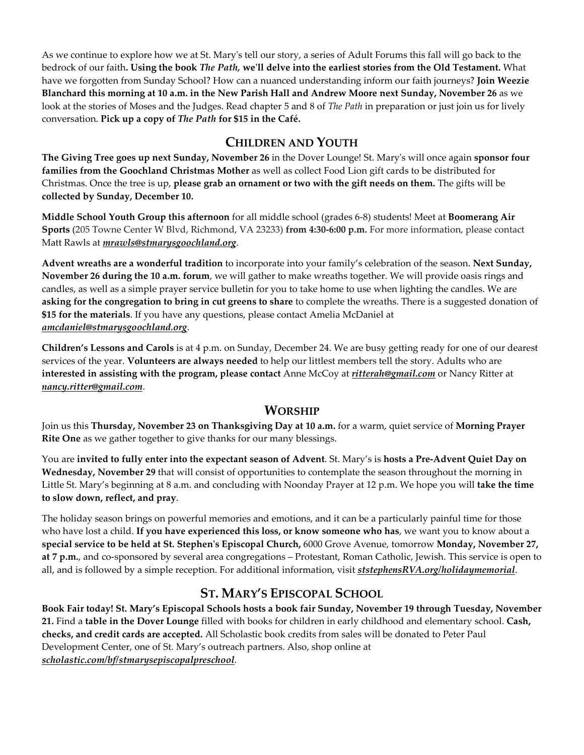As we continue to explore how we at St. Mary's tell our story, a series of Adult Forums this fall will go back to the bedrock of our faith**. Using the book** *The Path,* **we'll delve into the earliest stories from the Old Testament.** What have we forgotten from Sunday School? How can a nuanced understanding inform our faith journeys? **Join Weezie Blanchard this morning at 10 a.m. in the New Parish Hall and Andrew Moore next Sunday, November 26** as we look at the stories of Moses and the Judges. Read chapter 5 and 8 of *The Path* in preparation or just join us for lively conversation. **Pick up a copy of** *The Path* **for \$15 in the Café.**

#### **CHILDREN AND YOUTH**

**The Giving Tree goes up next Sunday, November 26** in the Dover Lounge! St. Mary's will once again **sponsor four families from the Goochland Christmas Mother** as well as collect Food Lion gift cards to be distributed for Christmas. Once the tree is up, **please grab an ornament or two with the gift needs on them.** The gifts will be **collected by Sunday, December 10.**

**Middle School Youth Group this afternoon** for all middle school (grades 6-8) students! Meet at **Boomerang Air Sports** (205 Towne Center W Blvd, Richmond, VA 23233) **from 4:30-6:00 p.m.** For more information, please contact Matt Rawls at *mrawls@stmarysgoochland.org*.

**Advent wreaths are a wonderful tradition** to incorporate into your family's celebration of the season. **Next Sunday, November 26 during the 10 a.m. forum**, we will gather to make wreaths together. We will provide oasis rings and candles, as well as a simple prayer service bulletin for you to take home to use when lighting the candles. We are **asking for the congregation to bring in cut greens to share** to complete the wreaths. There is a suggested donation of **\$15 for the materials**. If you have any questions, please contact Amelia McDaniel at *amcdaniel@stmarysgoochland.org*.

**Children's Lessons and Carols** is at 4 p.m. on Sunday, December 24. We are busy getting ready for one of our dearest services of the year. **Volunteers are always needed** to help our littlest members tell the story. Adults who are **interested in assisting with the program, please contact** Anne McCoy at *ritterah@gmail.com* or Nancy Ritter at *nancy.ritter@gmail.com*.

#### **WORSHIP**

Join us this **Thursday, November 23 on Thanksgiving Day at 10 a.m.** for a warm, quiet service of **Morning Prayer Rite One** as we gather together to give thanks for our many blessings.

You are **invited to fully enter into the expectant season of Advent**. St. Mary's is **hosts a Pre-Advent Quiet Day on Wednesday, November 29** that will consist of opportunities to contemplate the season throughout the morning in Little St. Mary's beginning at 8 a.m. and concluding with Noonday Prayer at 12 p.m. We hope you will **take the time to slow down, reflect, and pray**.

The holiday season brings on powerful memories and emotions, and it can be a particularly painful time for those who have lost a child. **If you have experienced this loss, or know someone who has**, we want you to know about a **special service to be held at St. Stephen's Episcopal Church,** 6000 Grove Avenue, tomorrow **Monday, November 27, at 7 p.m.**, and co-sponsored by several area congregations – Protestant, Roman Catholic, Jewish. This service is open to all, and is followed by a simple reception. For additional information, visit *ststephensRVA.org/holidaymemorial*.

## **ST. MARY'S EPISCOPAL SCHOOL**

**Book Fair today! St. Mary's Episcopal Schools hosts a book fair Sunday, November 19 through Tuesday, November 21.** Find a **table in the Dover Lounge** filled with books for children in early childhood and elementary school. **Cash, checks, and credit cards are accepted.** All Scholastic book credits from sales will be donated to Peter Paul Development Center, one of St. Mary's outreach partners. Also, shop online at *scholastic.com/bf/stmarysepiscopalpreschool*.